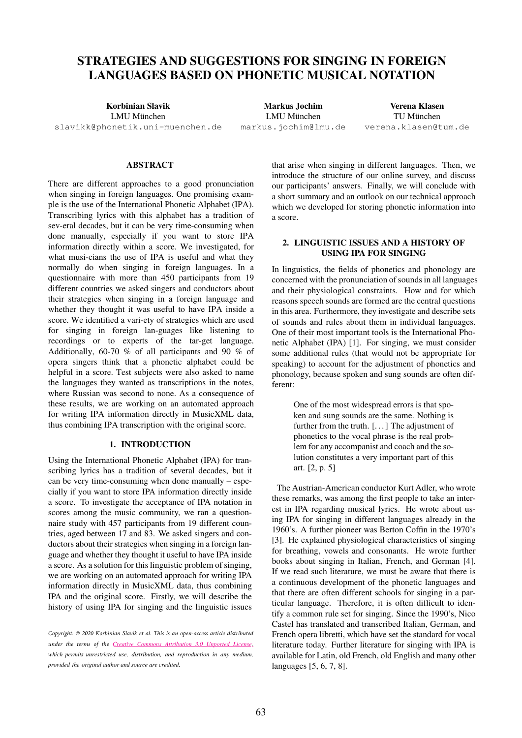# STRATEGIES AND SUGGESTIONS FOR SINGING IN FOREIGN LANGUAGES BASED ON PHONETIC MUSICAL NOTATION

Korbinian Slavik LMU München [slavikk@phonetik.uni-muenchen.de](mailto:slavikk@phonetik.uni\protect \discretionary {\char \defaulthyphenchar }{}{}muenchen.de)

Markus Jochim LMU München [markus.jochim@lmu.de](mailto:markus.jochim@lmu.de)

Verena Klasen TU München [verena.klasen@tum.de](mailto:verena.klasen@tum.de)

## ABSTRACT

There are different approaches to a good pronunciation when singing in foreign languages. One promising example is the use of the International Phonetic Alphabet (IPA). Transcribing lyrics with this alphabet has a tradition of sev-eral decades, but it can be very time-consuming when done manually, especially if you want to store IPA information directly within a score. We investigated, for what musi-cians the use of IPA is useful and what they normally do when singing in foreign languages. In a questionnaire with more than 450 participants from 19 different countries we asked singers and conductors about their strategies when singing in a foreign language and whether they thought it was useful to have IPA inside a score. We identified a vari-ety of strategies which are used for singing in foreign lan-guages like listening to recordings or to experts of the tar-get language. Additionally, 60-70 % of all participants and 90 % of opera singers think that a phonetic alphabet could be helpful in a score. Test subjects were also asked to name the languages they wanted as transcriptions in the notes, where Russian was second to none. As a consequence of these results, we are working on an automated approach for writing IPA information directly in MusicXML data, thus combining IPA transcription with the original score.

# 1. INTRODUCTION

Using the International Phonetic Alphabet (IPA) for transcribing lyrics has a tradition of several decades, but it can be very time-consuming when done manually – especially if you want to store IPA information directly inside a score. To investigate the acceptance of IPA notation in scores among the music community, we ran a questionnaire study with 457 participants from 19 different countries, aged between 17 and 83. We asked singers and conductors about their strategies when singing in a foreign language and whether they thought it useful to have IPA inside a score. As a solution for this linguistic problem of singing, we are working on an automated approach for writing IPA information directly in MusicXML data, thus combining IPA and the original score. Firstly, we will describe the history of using IPA for singing and the linguistic issues that arise when singing in different languages. Then, we introduce the structure of our online survey, and discuss our participants' answers. Finally, we will conclude with a short summary and an outlook on our technical approach which we developed for storing phonetic information into a score.

# 2. LINGUISTIC ISSUES AND A HISTORY OF USING IPA FOR SINGING

In linguistics, the fields of phonetics and phonology are concerned with the pronunciation of sounds in all languages and their physiological constraints. How and for which reasons speech sounds are formed are the central questions in this area. Furthermore, they investigate and describe sets of sounds and rules about them in individual languages. One of their most important tools is the International Phonetic Alphabet (IPA) [1]. For singing, we must consider some additional rules (that would not be appropriate for speaking) to account for the adjustment of phonetics and phonology, because spoken and sung sounds are often different:

> One of the most widespread errors is that spoken and sung sounds are the same. Nothing is further from the truth. [. . . ] The adjustment of phonetics to the vocal phrase is the real problem for any accompanist and coach and the solution constitutes a very important part of this art. [2, p. 5]

The Austrian-American conductor Kurt Adler, who wrote these remarks, was among the first people to take an interest in IPA regarding musical lyrics. He wrote about using IPA for singing in different languages already in the 1960's. A further pioneer was Berton Coffin in the 1970's [3]. He explained physiological characteristics of singing for breathing, vowels and consonants. He wrote further books about singing in Italian, French, and German [4]. If we read such literature, we must be aware that there is a continuous development of the phonetic languages and that there are often different schools for singing in a particular language. Therefore, it is often difficult to identify a common rule set for singing. Since the 1990's, Nico Castel has translated and transcribed Italian, German, and French opera libretti, which have set the standard for vocal literature today. Further literature for singing with IPA is available for Latin, old French, old English and many other languages [5, 6, 7, 8].

*Copyright: © 2020 Korbinian Slavik et al. This is an open-access article distributed [under the terms of the](http://creativecommons.org/licenses/by/3.0/) Creative Commons Attribution 3.0 Unported License, which permits unrestricted use, distribution, and reproduction in any medium, provided the original author and source are credited.*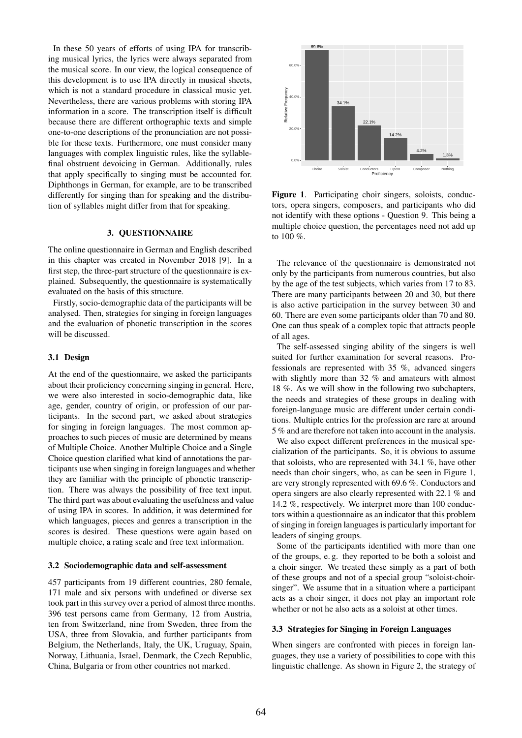In these 50 years of efforts of using IPA for transcribing musical lyrics, the lyrics were always separated from the musical score. In our view, the logical consequence of this development is to use IPA directly in musical sheets, which is not a standard procedure in classical music yet. Nevertheless, there are various problems with storing IPA information in a score. The transcription itself is difficult because there are different orthographic texts and simple one-to-one descriptions of the pronunciation are not possible for these texts. Furthermore, one must consider many languages with complex linguistic rules, like the syllablefinal obstruent devoicing in German. Additionally, rules that apply specifically to singing must be accounted for. Diphthongs in German, for example, are to be transcribed differently for singing than for speaking and the distribution of syllables might differ from that for speaking.

# 3. QUESTIONNAIRE

The online questionnaire in German and English described in this chapter was created in November 2018 [9]. In a first step, the three-part structure of the questionnaire is explained. Subsequently, the questionnaire is systematically evaluated on the basis of this structure.

Firstly, socio-demographic data of the participants will be analysed. Then, strategies for singing in foreign languages and the evaluation of phonetic transcription in the scores will be discussed.

## 3.1 Design

At the end of the questionnaire, we asked the participants about their proficiency concerning singing in general. Here, we were also interested in socio-demographic data, like age, gender, country of origin, or profession of our participants. In the second part, we asked about strategies for singing in foreign languages. The most common approaches to such pieces of music are determined by means of Multiple Choice. Another Multiple Choice and a Single Choice question clarified what kind of annotations the participants use when singing in foreign languages and whether they are familiar with the principle of phonetic transcription. There was always the possibility of free text input. The third part was about evaluating the usefulness and value of using IPA in scores. In addition, it was determined for which languages, pieces and genres a transcription in the scores is desired. These questions were again based on multiple choice, a rating scale and free text information.

#### 3.2 Sociodemographic data and self-assessment

457 participants from 19 different countries, 280 female, 171 male and six persons with undefined or diverse sex took part in this survey over a period of almost three months. 396 test persons came from Germany, 12 from Austria, ten from Switzerland, nine from Sweden, three from the USA, three from Slovakia, and further participants from Belgium, the Netherlands, Italy, the UK, Uruguay, Spain, Norway, Lithuania, Israel, Denmark, the Czech Republic, China, Bulgaria or from other countries not marked.



Figure 1. Participating choir singers, soloists, conductors, opera singers, composers, and participants who did not identify with these options - Question 9. This being a multiple choice question, the percentages need not add up to  $100 \%$ .

The relevance of the questionnaire is demonstrated not only by the participants from numerous countries, but also by the age of the test subjects, which varies from 17 to 83. There are many participants between 20 and 30, but there is also active participation in the survey between 30 and 60. There are even some participants older than 70 and 80. One can thus speak of a complex topic that attracts people of all ages.

The self-assessed singing ability of the singers is well suited for further examination for several reasons. Professionals are represented with 35 %, advanced singers with slightly more than 32 % and amateurs with almost 18 %. As we will show in the following two subchapters, the needs and strategies of these groups in dealing with foreign-language music are different under certain conditions. Multiple entries for the profession are rare at around 5 % and are therefore not taken into account in the analysis.

We also expect different preferences in the musical specialization of the participants. So, it is obvious to assume that soloists, who are represented with 34.1 %, have other needs than choir singers, who, as can be seen in Figure 1, are very strongly represented with 69.6 %. Conductors and opera singers are also clearly represented with 22.1 % and 14.2 %, respectively. We interpret more than 100 conductors within a questionnaire as an indicator that this problem of singing in foreign languages is particularly important for leaders of singing groups.

Some of the participants identified with more than one of the groups, e. g. they reported to be both a soloist and a choir singer. We treated these simply as a part of both of these groups and not of a special group "soloist-choirsinger". We assume that in a situation where a participant acts as a choir singer, it does not play an important role whether or not he also acts as a soloist at other times.

## 3.3 Strategies for Singing in Foreign Languages

When singers are confronted with pieces in foreign languages, they use a variety of possibilities to cope with this linguistic challenge. As shown in Figure 2, the strategy of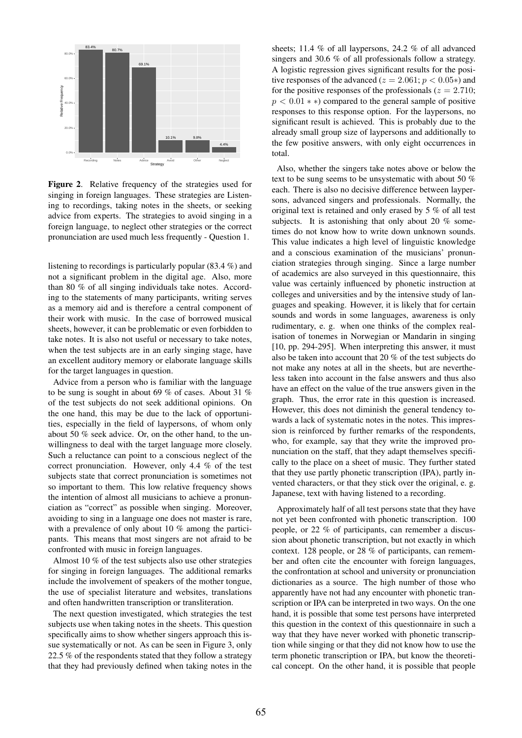

Figure 2. Relative frequency of the strategies used for singing in foreign languages. These strategies are Listening to recordings, taking notes in the sheets, or seeking advice from experts. The strategies to avoid singing in a foreign language, to neglect other strategies or the correct pronunciation are used much less frequently - Question 1.

listening to recordings is particularly popular (83.4 %) and not a significant problem in the digital age. Also, more than 80 % of all singing individuals take notes. According to the statements of many participants, writing serves as a memory aid and is therefore a central component of their work with music. In the case of borrowed musical sheets, however, it can be problematic or even forbidden to take notes. It is also not useful or necessary to take notes, when the test subjects are in an early singing stage, have an excellent auditory memory or elaborate language skills for the target languages in question.

Advice from a person who is familiar with the language to be sung is sought in about 69 % of cases. About 31 % of the test subjects do not seek additional opinions. On the one hand, this may be due to the lack of opportunities, especially in the field of laypersons, of whom only about 50 % seek advice. Or, on the other hand, to the unwillingness to deal with the target language more closely. Such a reluctance can point to a conscious neglect of the correct pronunciation. However, only 4.4 % of the test subjects state that correct pronunciation is sometimes not so important to them. This low relative frequency shows the intention of almost all musicians to achieve a pronunciation as "correct" as possible when singing. Moreover, avoiding to sing in a language one does not master is rare, with a prevalence of only about 10 % among the participants. This means that most singers are not afraid to be confronted with music in foreign languages.

Almost 10 % of the test subjects also use other strategies for singing in foreign languages. The additional remarks include the involvement of speakers of the mother tongue, the use of specialist literature and websites, translations and often handwritten transcription or transliteration.

The next question investigated, which strategies the test subjects use when taking notes in the sheets. This question specifically aims to show whether singers approach this issue systematically or not. As can be seen in Figure 3, only 22.5 % of the respondents stated that they follow a strategy that they had previously defined when taking notes in the sheets; 11.4 % of all laypersons, 24.2 % of all advanced singers and 30.6 % of all professionals follow a strategy. A logistic regression gives significant results for the positive responses of the advanced ( $z = 2.061$ ;  $p < 0.05*$ ) and for the positive responses of the professionals ( $z = 2.710$ ;  $p < 0.01$  \* \*) compared to the general sample of positive responses to this response option. For the laypersons, no significant result is achieved. This is probably due to the already small group size of laypersons and additionally to the few positive answers, with only eight occurrences in total.

Also, whether the singers take notes above or below the text to be sung seems to be unsystematic with about 50 % each. There is also no decisive difference between laypersons, advanced singers and professionals. Normally, the original text is retained and only erased by 5 % of all test subjects. It is astonishing that only about 20 % sometimes do not know how to write down unknown sounds. This value indicates a high level of linguistic knowledge and a conscious examination of the musicians' pronunciation strategies through singing. Since a large number of academics are also surveyed in this questionnaire, this value was certainly influenced by phonetic instruction at colleges and universities and by the intensive study of languages and speaking. However, it is likely that for certain sounds and words in some languages, awareness is only rudimentary, e. g. when one thinks of the complex realisation of tonemes in Norwegian or Mandarin in singing [10, pp. 294-295]. When interpreting this answer, it must also be taken into account that 20 % of the test subjects do not make any notes at all in the sheets, but are nevertheless taken into account in the false answers and thus also have an effect on the value of the true answers given in the graph. Thus, the error rate in this question is increased. However, this does not diminish the general tendency towards a lack of systematic notes in the notes. This impression is reinforced by further remarks of the respondents, who, for example, say that they write the improved pronunciation on the staff, that they adapt themselves specifically to the place on a sheet of music. They further stated that they use partly phonetic transcription (IPA), partly invented characters, or that they stick over the original, e. g. Japanese, text with having listened to a recording.

Approximately half of all test persons state that they have not yet been confronted with phonetic transcription. 100 people, or 22 % of participants, can remember a discussion about phonetic transcription, but not exactly in which context. 128 people, or 28 % of participants, can remember and often cite the encounter with foreign languages, the confrontation at school and university or pronunciation dictionaries as a source. The high number of those who apparently have not had any encounter with phonetic transcription or IPA can be interpreted in two ways. On the one hand, it is possible that some test persons have interpreted this question in the context of this questionnaire in such a way that they have never worked with phonetic transcription while singing or that they did not know how to use the term phonetic transcription or IPA, but know the theoretical concept. On the other hand, it is possible that people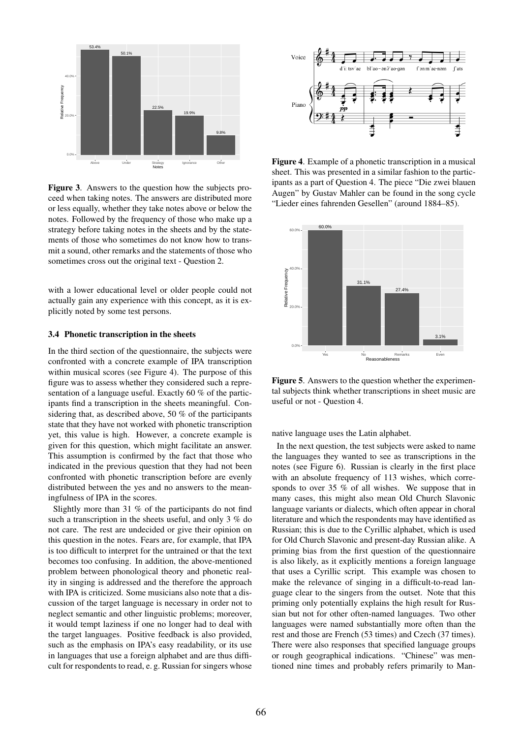

Figure 3. Answers to the question how the subjects proceed when taking notes. The answers are distributed more or less equally, whether they take notes above or below the notes. Followed by the frequency of those who make up a strategy before taking notes in the sheets and by the statements of those who sometimes do not know how to transmit a sound, other remarks and the statements of those who sometimes cross out the original text - Question 2.

with a lower educational level or older people could not actually gain any experience with this concept, as it is explicitly noted by some test persons.

## 3.4 Phonetic transcription in the sheets

In the third section of the questionnaire, the subjects were confronted with a concrete example of IPA transcription within musical scores (see Figure 4). The purpose of this figure was to assess whether they considered such a representation of a language useful. Exactly 60 % of the participants find a transcription in the sheets meaningful. Considering that, as described above, 50 % of the participants state that they have not worked with phonetic transcription yet, this value is high. However, a concrete example is given for this question, which might facilitate an answer. This assumption is confirmed by the fact that those who indicated in the previous question that they had not been confronted with phonetic transcription before are evenly distributed between the yes and no answers to the meaningfulness of IPA in the scores.

Slightly more than 31 % of the participants do not find such a transcription in the sheets useful, and only 3 % do not care. The rest are undecided or give their opinion on this question in the notes. Fears are, for example, that IPA is too difficult to interpret for the untrained or that the text becomes too confusing. In addition, the above-mentioned problem between phonological theory and phonetic reality in singing is addressed and the therefore the approach with IPA is criticized. Some musicians also note that a discussion of the target language is necessary in order not to neglect semantic and other linguistic problems; moreover, it would tempt laziness if one no longer had to deal with the target languages. Positive feedback is also provided, such as the emphasis on IPA's easy readability, or its use in languages that use a foreign alphabet and are thus difficult for respondents to read, e. g. Russian for singers whose



Figure 4. Example of a phonetic transcription in a musical sheet. This was presented in a similar fashion to the participants as a part of Question 4. The piece "Die zwei blauen Augen" by Gustav Mahler can be found in the song cycle "Lieder eines fahrenden Gesellen" (around 1884–85).



Figure 5. Answers to the question whether the experimental subjects think whether transcriptions in sheet music are useful or not - Question 4.

native language uses the Latin alphabet.

In the next question, the test subjects were asked to name the languages they wanted to see as transcriptions in the notes (see Figure 6). Russian is clearly in the first place with an absolute frequency of 113 wishes, which corresponds to over 35 % of all wishes. We suppose that in many cases, this might also mean Old Church Slavonic language variants or dialects, which often appear in choral literature and which the respondents may have identified as Russian; this is due to the Cyrillic alphabet, which is used for Old Church Slavonic and present-day Russian alike. A priming bias from the first question of the questionnaire is also likely, as it explicitly mentions a foreign language that uses a Cyrillic script. This example was chosen to make the relevance of singing in a difficult-to-read language clear to the singers from the outset. Note that this priming only potentially explains the high result for Russian but not for other often-named languages. Two other languages were named substantially more often than the rest and those are French (53 times) and Czech (37 times). There were also responses that specified language groups or rough geographical indications. "Chinese" was mentioned nine times and probably refers primarily to Man-